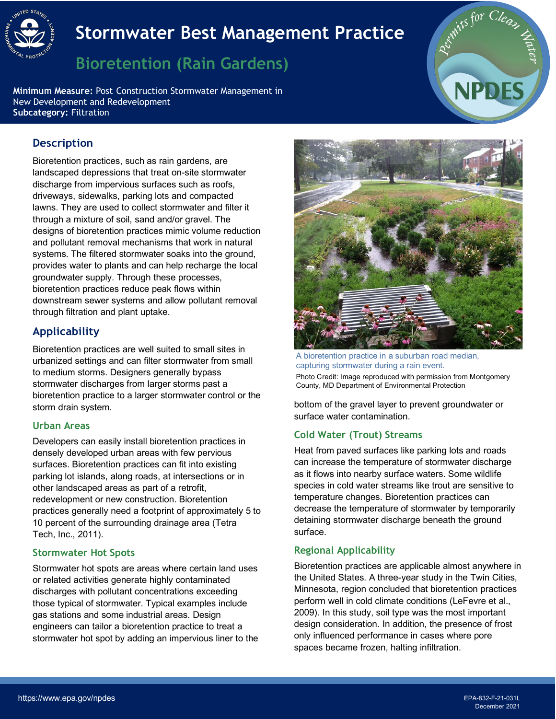

# **Stormwater Best Management Practice**

## **Bioretention (Rain Gardens)**

- **Minimum Measure:** Post Construction Stormwater Management in New Development and Redevelopment **Subcategory:** Filtration



## **Description**

 lawns. They are used to collect stormwater and filter it Bioretention practices, such as rain gardens, are landscaped depressions that treat on-site stormwater discharge from impervious surfaces such as roofs, driveways, sidewalks, parking lots and compacted through a mixture of soil, sand and/or gravel. The designs of bioretention practices mimic volume reduction and pollutant removal mechanisms that work in natural systems. The filtered stormwater soaks into the ground, provides water to plants and can help recharge the local groundwater supply. Through these processes, bioretention practices reduce peak flows within downstream sewer systems and allow pollutant removal through filtration and plant uptake.

## **Applicability**

 Bioretention practices are well suited to small sites in storm drain system. urbanized settings and can filter stormwater from small to medium storms. Designers generally bypass stormwater discharges from larger storms past a bioretention practice to a larger stormwater control or the

#### **Urban Areas**

 parking lot islands, along roads, at intersections or in Tech, Inc., 2011). Developers can easily install bioretention practices in densely developed urban areas with few pervious surfaces. Bioretention practices can fit into existing other landscaped areas as part of a retrofit, redevelopment or new construction. Bioretention practices generally need a footprint of approximately 5 to 10 percent of the surrounding drainage area (Tetra

#### **Stormwater Hot Spots**

Stormwater hot spots are areas where certain land uses or related activities generate highly contaminated discharges with pollutant concentrations exceeding those typical of stormwater. Typical examples include gas stations and some industrial areas. Design engineers can tailor a bioretention practice to treat a stormwater hot spot by adding an impervious liner to the



 A bioretention practice in a suburban road median, capturing stormwater during a rain event. Photo Credit: Image reproduced with permission from Montgomery County, MD Department of Environmental Protection

bottom of the gravel layer to prevent groundwater or surface water contamination.

#### **Cold Water (Trout) Streams**

 as it flows into nearby surface waters. Some wildlife Heat from paved surfaces like parking lots and roads can increase the temperature of stormwater discharge species in cold water streams like trout are sensitive to temperature changes. Bioretention practices can decrease the temperature of stormwater by temporarily detaining stormwater discharge beneath the ground surface.

## **Regional Applicability**

 2009). In this study, soil type was the most important Bioretention practices are applicable almost anywhere in the United States. A three-year study in the Twin Cities, Minnesota, region concluded that bioretention practices perform well in cold climate conditions (LeFevre et al., design consideration. In addition, the presence of frost only influenced performance in cases where pore spaces became frozen, halting infiltration.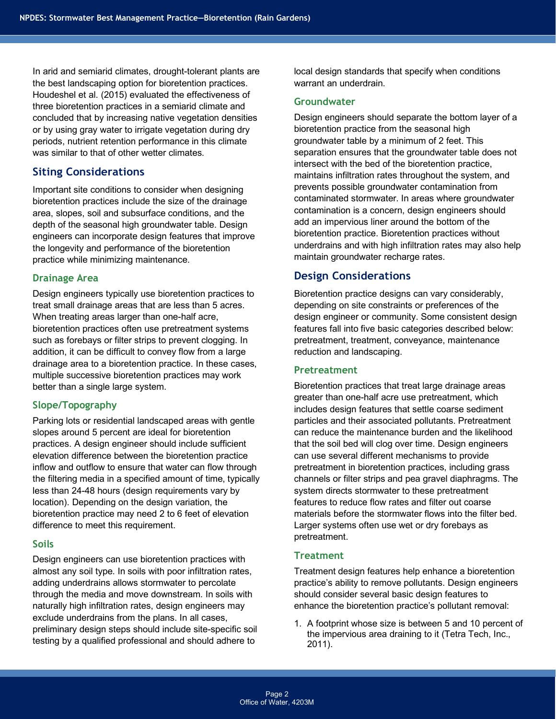was similar to that of other wetter climates. In arid and semiarid climates, drought-tolerant plants are the best landscaping option for bioretention practices. Houdeshel et al. (2015) evaluated the effectiveness of three bioretention practices in a semiarid climate and concluded that by increasing native vegetation densities or by using gray water to irrigate vegetation during dry periods, nutrient retention performance in this climate

## **Siting Considerations**

Important site conditions to consider when designing bioretention practices include the size of the drainage area, slopes, soil and subsurface conditions, and the depth of the seasonal high groundwater table. Design engineers can incorporate design features that improve the longevity and performance of the bioretention practice while minimizing maintenance.

#### **Drainage Area**

 multiple successive bioretention practices may work Design engineers typically use bioretention practices to treat small drainage areas that are less than 5 acres. When treating areas larger than one-half acre, bioretention practices often use pretreatment systems such as forebays or filter strips to prevent clogging. In addition, it can be difficult to convey flow from a large drainage area to a bioretention practice. In these cases, better than a single large system.

#### **Slope/Topography**

 Parking lots or residential landscaped areas with gentle slopes around 5 percent are ideal for bioretention inflow and outflow to ensure that water can flow through the filtering media in a specified amount of time, typically practices. A design engineer should include sufficient elevation difference between the bioretention practice less than 24-48 hours (design requirements vary by location). Depending on the design variation, the bioretention practice may need 2 to 6 feet of elevation difference to meet this requirement.

#### **Soils**

Design engineers can use bioretention practices with almost any soil type. In soils with poor infiltration rates, adding underdrains allows stormwater to percolate through the media and move downstream. In soils with naturally high infiltration rates, design engineers may exclude underdrains from the plans. In all cases, preliminary design steps should include site-specific soil testing by a qualified professional and should adhere to

 warrant an underdrain. local design standards that specify when conditions

#### **Groundwater**

 groundwater table by a minimum of 2 feet. This Design engineers should separate the bottom layer of a bioretention practice from the seasonal high separation ensures that the groundwater table does not intersect with the bed of the bioretention practice, maintains infiltration rates throughout the system, and prevents possible groundwater contamination from contaminated stormwater. In areas where groundwater contamination is a concern, design engineers should add an impervious liner around the bottom of the bioretention practice. Bioretention practices without underdrains and with high infiltration rates may also help maintain groundwater recharge rates.

## **Design Considerations**

Bioretention practice designs can vary considerably, depending on site constraints or preferences of the design engineer or community. Some consistent design features fall into five basic categories described below: pretreatment, treatment, conveyance, maintenance reduction and landscaping.

#### **Pretreatment**

Bioretention practices that treat large drainage areas greater than one-half acre use pretreatment, which includes design features that settle coarse sediment particles and their associated pollutants. Pretreatment can reduce the maintenance burden and the likelihood that the soil bed will clog over time. Design engineers can use several different mechanisms to provide pretreatment in bioretention practices, including grass channels or filter strips and pea gravel diaphragms. The system directs stormwater to these pretreatment features to reduce flow rates and filter out coarse materials before the stormwater flows into the filter bed. Larger systems often use wet or dry forebays as pretreatment.

#### **Treatment**

 practice's ability to remove pollutants. Design engineers Treatment design features help enhance a bioretention should consider several basic design features to enhance the bioretention practice's pollutant removal:

 1. A footprint whose size is between 5 and 10 percent of the impervious area draining to it (Tetra Tech, Inc., 2011).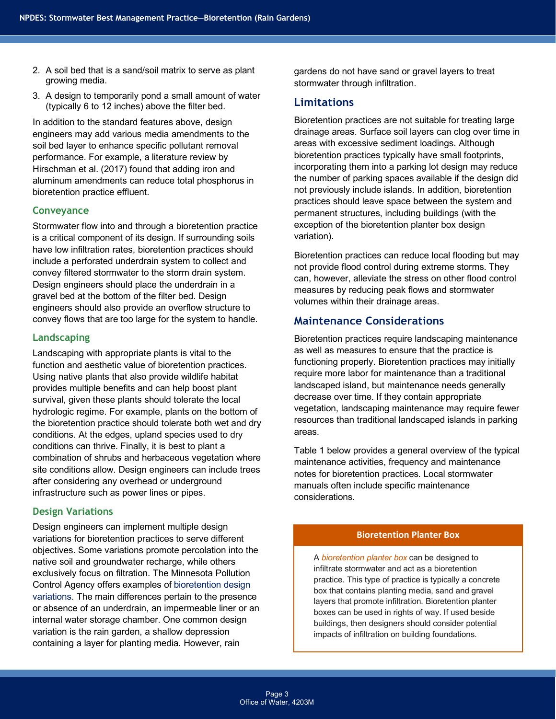- 2. A soil bed that is a sand/soil matrix to serve as plant growing media.
- (typically 6 to 12 inches) above the filter bed. 3. A design to temporarily pond a small amount of water

 bioretention practice effluent. In addition to the standard features above, design engineers may add various media amendments to the soil bed layer to enhance specific pollutant removal performance. For example, a literature review by Hirschman et al. (2017) found that adding iron and aluminum amendments can reduce total phosphorus in

#### **Conveyance**

 Stormwater flow into and through a bioretention practice is a critical component of its design. If surrounding soils include a perforated underdrain system to collect and convey flows that are too large for the system to handle. have low infiltration rates, bioretention practices should convey filtered stormwater to the storm drain system. Design engineers should place the underdrain in a gravel bed at the bottom of the filter bed. Design engineers should also provide an overflow structure to

#### **Landscaping**

 conditions. At the edges, upland species used to dry Landscaping with appropriate plants is vital to the function and aesthetic value of bioretention practices. Using native plants that also provide wildlife habitat provides multiple benefits and can help boost plant survival, given these plants should tolerate the local hydrologic regime. For example, plants on the bottom of the bioretention practice should tolerate both wet and dry conditions can thrive. Finally, it is best to plant a combination of shrubs and herbaceous vegetation where site conditions allow. Design engineers can include trees after considering any overhead or underground infrastructure such as power lines or pipes.

#### **Design Variations**

Design engineers can implement multiple design variations for bioretention practices to serve different objectives. Some variations promote percolation into the native soil and groundwater recharge, while others exclusively focus on filtration. The Minnesota Pollution Control Agency offers examples o[f bioretention design](http://stormwater.pca.state.mn.us/index.php/Types_of_bioretention_basins)  [variations.](http://stormwater.pca.state.mn.us/index.php/Types_of_bioretention_basins) The main differences pertain to the presence or absence of an underdrain, an impermeable liner or an internal water storage chamber. One common design variation is the rain garden, a shallow depression containing a layer for planting media. However, rain

 gardens do not have sand or gravel layers to treat stormwater through infiltration.

#### **Limitations**

Bioretention practices are not suitable for treating large drainage areas. Surface soil layers can clog over time in areas with excessive sediment loadings. Although bioretention practices typically have small footprints, incorporating them into a parking lot design may reduce the number of parking spaces available if the design did not previously include islands. In addition, bioretention practices should leave space between the system and permanent structures, including buildings (with the exception of the bioretention planter box design variation).

Bioretention practices can reduce local flooding but may not provide flood control during extreme storms. They can, however, alleviate the stress on other flood control measures by reducing peak flows and stormwater volumes within their drainage areas.

#### **Maintenance Considerations**

areas. Bioretention practices require landscaping maintenance as well as measures to ensure that the practice is functioning properly. Bioretention practices may initially require more labor for maintenance than a traditional landscaped island, but maintenance needs generally decrease over time. If they contain appropriate vegetation, landscaping maintenance may require fewer resources than traditional landscaped islands in parking

Table 1 below provides a general overview of the typical maintenance activities, frequency and maintenance notes for bioretention practices. Local stormwater manuals often include specific maintenance considerations.

#### **Bioretention Planter Box**

 A *bioretention planter box* can be designed to infiltrate stormwater and act as a bioretention practice. This type of practice is typically a concrete box that contains planting media, sand and gravel layers that promote infiltration. Bioretention planter boxes can be used in rights of way. If used beside buildings, then designers should consider potential impacts of infiltration on building foundations.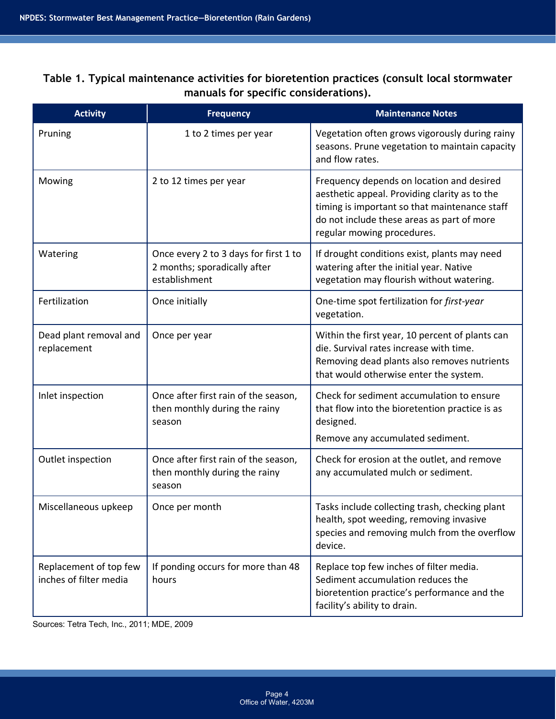**manuals for specific considerations). Table 1. Typical maintenance activities for bioretention practices (consult local stormwater** 

| <b>Activity</b>                                  | <b>Frequency</b>                                                                       | <b>Maintenance Notes</b>                                                                                                                                                                                                |
|--------------------------------------------------|----------------------------------------------------------------------------------------|-------------------------------------------------------------------------------------------------------------------------------------------------------------------------------------------------------------------------|
| Pruning                                          | 1 to 2 times per year                                                                  | Vegetation often grows vigorously during rainy<br>seasons. Prune vegetation to maintain capacity<br>and flow rates.                                                                                                     |
| Mowing                                           | 2 to 12 times per year                                                                 | Frequency depends on location and desired<br>aesthetic appeal. Providing clarity as to the<br>timing is important so that maintenance staff<br>do not include these areas as part of more<br>regular mowing procedures. |
| Watering                                         | Once every 2 to 3 days for first 1 to<br>2 months; sporadically after<br>establishment | If drought conditions exist, plants may need<br>watering after the initial year. Native<br>vegetation may flourish without watering.                                                                                    |
| Fertilization                                    | Once initially                                                                         | One-time spot fertilization for first-year<br>vegetation.                                                                                                                                                               |
| Dead plant removal and<br>replacement            | Once per year                                                                          | Within the first year, 10 percent of plants can<br>die. Survival rates increase with time.<br>Removing dead plants also removes nutrients<br>that would otherwise enter the system.                                     |
| Inlet inspection                                 | Once after first rain of the season,<br>then monthly during the rainy<br>season        | Check for sediment accumulation to ensure<br>that flow into the bioretention practice is as<br>designed.<br>Remove any accumulated sediment.                                                                            |
| Outlet inspection                                | Once after first rain of the season,<br>then monthly during the rainy<br>season        | Check for erosion at the outlet, and remove<br>any accumulated mulch or sediment.                                                                                                                                       |
| Miscellaneous upkeep                             | Once per month                                                                         | Tasks include collecting trash, checking plant<br>health, spot weeding, removing invasive<br>species and removing mulch from the overflow<br>device.                                                                    |
| Replacement of top few<br>inches of filter media | If ponding occurs for more than 48<br>hours                                            | Replace top few inches of filter media.<br>Sediment accumulation reduces the<br>bioretention practice's performance and the<br>facility's ability to drain.                                                             |

Sources: Tetra Tech, Inc., 2011; MDE, 2009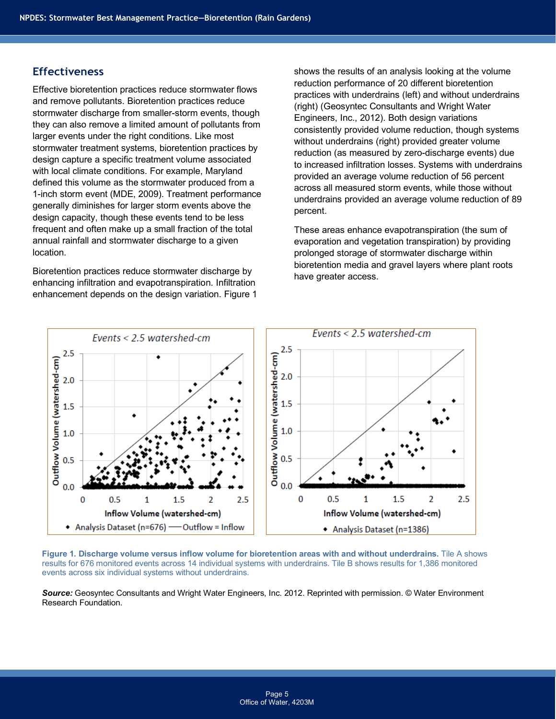## **Effectiveness**

Effective bioretention practices reduce stormwater flows and remove pollutants. Bioretention practices reduce stormwater discharge from smaller-storm events, though they can also remove a limited amount of pollutants from larger events under the right conditions. Like most stormwater treatment systems, bioretention practices by design capture a specific treatment volume associated with local climate conditions. For example, Maryland defined this volume as the stormwater produced from a 1-inch storm event (MDE, 2009). Treatment performance generally diminishes for larger storm events above the design capacity, though these events tend to be less frequent and often make up a small fraction of the total annual rainfall and stormwater discharge to a given location.

Bioretention practices reduce stormwater discharge by enhancing infiltration and evapotranspiration. Infiltration enhancement depends on the design variation. Figure 1

 (right) (Geosyntec Consultants and Wright Water shows the results of an analysis looking at the volume reduction performance of 20 different bioretention practices with underdrains (left) and without underdrains Engineers, Inc., 2012). Both design variations consistently provided volume reduction, though systems without underdrains (right) provided greater volume reduction (as measured by zero-discharge events) due to increased infiltration losses. Systems with underdrains provided an average volume reduction of 56 percent across all measured storm events, while those without underdrains provided an average volume reduction of 89 percent.

These areas enhance evapotranspiration (the sum of evaporation and vegetation transpiration) by providing prolonged storage of stormwater discharge within bioretention media and gravel layers where plant roots have greater access.



 **Figure 1. Discharge volume versus inflow volume for bioretention areas with and without underdrains.** Tile A shows results for 676 monitored events across 14 individual systems with underdrains. Tile B shows results for 1,386 monitored events across six individual systems without underdrains.

 *Source:* Geosyntec Consultants and Wright Water Engineers, Inc. 2012. Reprinted with permission. © Water Environment Research Foundation.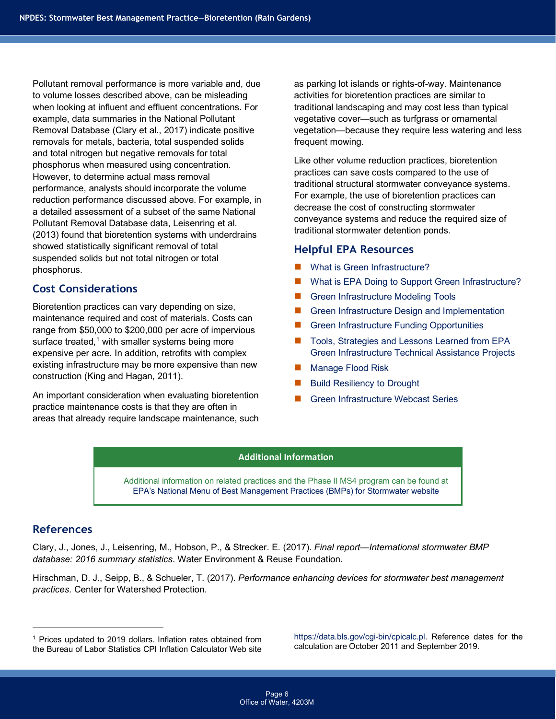and total nitrogen but negative removals for total Pollutant removal performance is more variable and, due to volume losses described above, can be misleading when looking at influent and effluent concentrations. For example, data summaries in the National Pollutant Removal Database (Clary et al., 2017) indicate positive removals for metals, bacteria, total suspended solids phosphorus when measured using concentration. However, to determine actual mass removal performance, analysts should incorporate the volume reduction performance discussed above. For example, in a detailed assessment of a subset of the same National Pollutant Removal Database data, Leisenring et al. (2013) found that bioretention systems with underdrains showed statistically significant removal of total suspended solids but not total nitrogen or total phosphorus.

## **Cost Considerations**

Bioretention practices can vary depending on size, maintenance required and cost of materials. Costs can range from \$50,000 to \$200,000 per acre of impervious surface treated, $1$  with smaller systems being more expensive per acre. In addition, retrofits with complex existing infrastructure may be more expensive than new construction (King and Hagan, 2011).

 practice maintenance costs is that they are often in An important consideration when evaluating bioretention areas that already require landscape maintenance, such

 activities for bioretention practices are similar to as parking lot islands or rights-of-way. Maintenance traditional landscaping and may cost less than typical vegetative cover—such as turfgrass or ornamental vegetation—because they require less watering and less frequent mowing.

 traditional stormwater detention ponds. Like other volume reduction practices, bioretention practices can save costs compared to the use of traditional structural stormwater conveyance systems. For example, the use of bioretention practices can decrease the cost of constructing stormwater conveyance systems and reduce the required size of

#### **Helpful EPA Resources**

- [What is Green Infrastructure?](https://www.epa.gov/green-infrastructure/what-green-infrastructure)
- [What is EPA Doing to Support Green Infrastructure?](https://www.epa.gov/green-infrastructure/what-epa-doing-support-green-infrastructure-0)
- [Green Infrastructure Modeling Tools](https://www.epa.gov/green-infrastructure/green-infrastructure-modeling-tools)
- [Green Infrastructure Design and Implementation](https://www.epa.gov/green-infrastructure/green-infrastructure-design-and-implementation)
- [Green Infrastructure Funding Opportunities](https://www.epa.gov/green-infrastructure/green-infrastructure-funding-opportunities)
- [Tools, Strategies and Lessons Learned from EPA](https://www.epa.gov/green-infrastructure/tools-strategies-and-lessons-learned-epa-green-infrastructure-technical) [Green Infrastructure Technical Assistance Projects](https://www.epa.gov/green-infrastructure/tools-strategies-and-lessons-learned-epa-green-infrastructure-technical)
- **[Manage Flood Risk](https://www.epa.gov/green-infrastructure/manage-flood-risk)**
- [Build Resiliency to Drought](https://www.epa.gov/green-infrastructure/build-resiliency-drought)
- [Green Infrastructure Webcast Series](https://www.epa.gov/green-infrastructure/green-infrastructure-webcast-series)

#### **Additional Information**

 Additional information on related practices and the Phase II MS4 program can be found at [EPA's National Menu of Best Management Practices \(BMPs\) for Stormwater website](https://www.epa.gov/npdes/national-menu-best-management-practices-bmps-stormwater#edu) 

#### **References**

Clary, J., Jones, J., Leisenring, M., Hobson, P., & Strecker. E. (2017). *Final report—International stormwater BMP database: 2016 summary statistics*. Water Environment & Reuse Foundation.

 *practices*. Center for Watershed Protection. Hirschman, D. J., Seipp, B., & Schueler, T. (2017). *Performance enhancing devices for stormwater best management* 

<sup>1</sup> Prices updated to 2019 dollars. Inflation rates obtained from [https://data.bls.gov/cgi-bin/cpicalc.pl.](https://data.bls.gov/cgi-bin/cpicalc.pl) Reference dates for the https://data.bls.gov/cgi-bin/cpicalc.pl. Reference dates for the hte Bureau of Labor Statis

<span id="page-5-0"></span><sup>&</sup>lt;sup>1</sup> Prices updated to 2019 dollars. Inflation rates obtained from